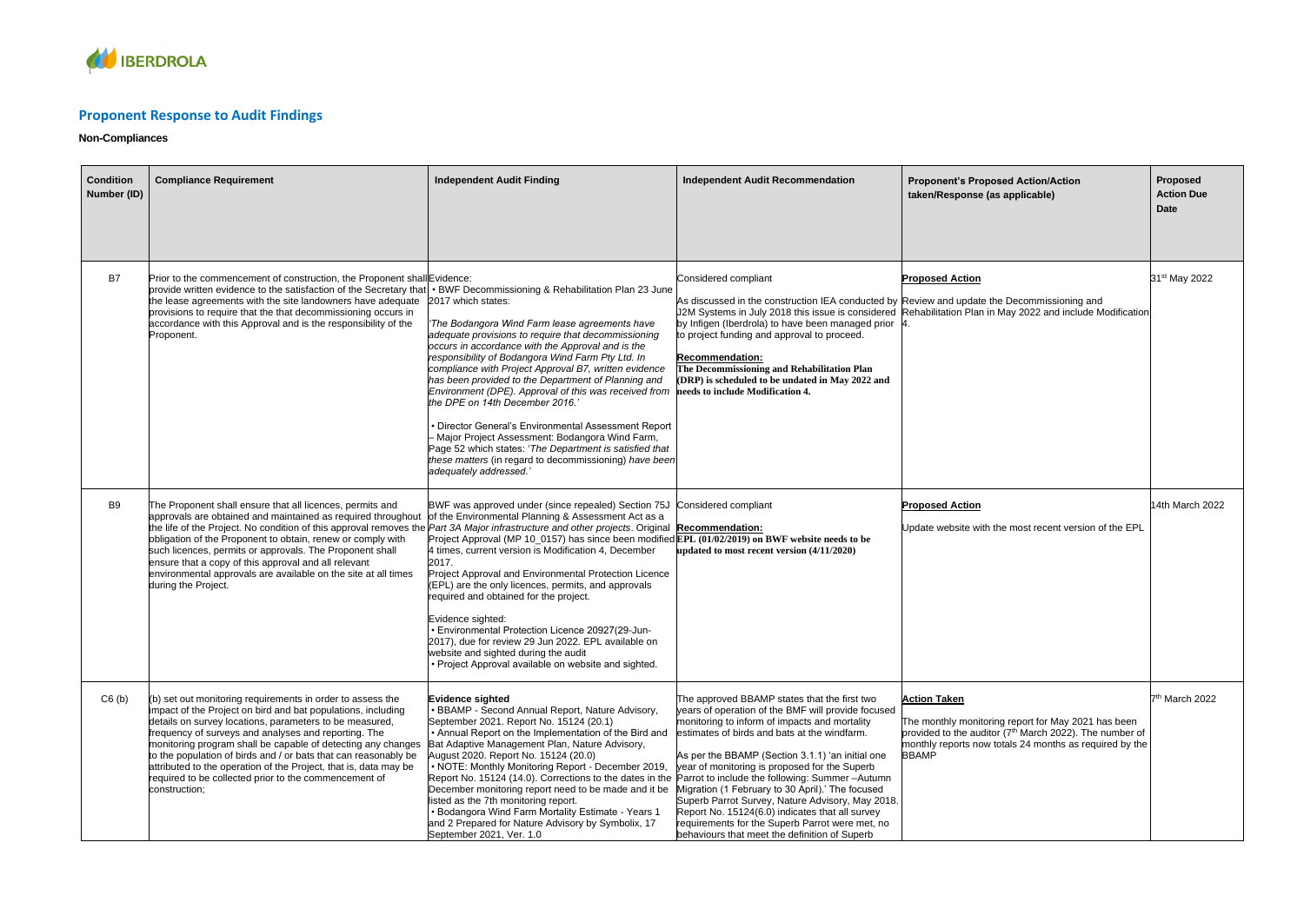

## **Proponent Response to Audit Findings**

## **Non-Compliances**

| <b>Condition</b><br>Number (ID) | <b>Compliance Requirement</b>                                                                                                                                                                                                                                                                                                                                                                                                                                                                                                                                        | <b>Independent Audit Finding</b>                                                                                                                                                                                                                                                                                                                                                                                                                                                                                                                                                                                                                                                                                                                                      | <b>Independent Audit Recommendation</b>                                                                                                                                                                                                                                                                                                                                                                                                                                                                                                                                                                                   | <b>Proponent's Proposed Action/Action</b><br>taken/Response (as applicable)                                                                                                                                                  | Proposed<br><b>Action Due</b><br>Date |
|---------------------------------|----------------------------------------------------------------------------------------------------------------------------------------------------------------------------------------------------------------------------------------------------------------------------------------------------------------------------------------------------------------------------------------------------------------------------------------------------------------------------------------------------------------------------------------------------------------------|-----------------------------------------------------------------------------------------------------------------------------------------------------------------------------------------------------------------------------------------------------------------------------------------------------------------------------------------------------------------------------------------------------------------------------------------------------------------------------------------------------------------------------------------------------------------------------------------------------------------------------------------------------------------------------------------------------------------------------------------------------------------------|---------------------------------------------------------------------------------------------------------------------------------------------------------------------------------------------------------------------------------------------------------------------------------------------------------------------------------------------------------------------------------------------------------------------------------------------------------------------------------------------------------------------------------------------------------------------------------------------------------------------------|------------------------------------------------------------------------------------------------------------------------------------------------------------------------------------------------------------------------------|---------------------------------------|
| B7                              | Prior to the commencement of construction, the Proponent shall Evidence:<br>provide written evidence to the satisfaction of the Secretary that<br>the lease agreements with the site landowners have adequate<br>provisions to require that the that decommissioning occurs in<br>accordance with this Approval and is the responsibility of the<br>Proponent.                                                                                                                                                                                                       | • BWF Decommissioning & Rehabilitation Plan 23 June<br>2017 which states:<br>The Bodangora Wind Farm lease agreements have<br>adequate provisions to require that decommissioning<br>occurs in accordance with the Approval and is the<br>responsibility of Bodangora Wind Farm Pty Ltd. In<br>compliance with Project Approval B7, written evidence<br>has been provided to the Department of Planning and<br>Environment (DPE). Approval of this was received from<br>the DPE on 14th December 2016.'<br><b>Director General's Environmental Assessment Report</b><br>Major Project Assessment: Bodangora Wind Farm,<br>Page 52 which states: 'The Department is satisfied that<br>these matters (in regard to decommissioning) have been<br>adequately addressed.' | Considered compliant<br>As discussed in the construction IEA conducted by Review and update the Decommissioning and<br>by Infigen (Iberdrola) to have been managed prior<br>to project funding and approval to proceed.<br><b>Recommendation:</b><br>The Decommissioning and Rehabilitation Plan<br>(DRP) is scheduled to be undated in May 2022 and<br>needs to include Modification 4.                                                                                                                                                                                                                                  | <b>Proposed Action</b><br>J2M Systems in July 2018 this issue is considered Rehabilitation Plan in May 2022 and include Modification                                                                                         | 31 <sup>st</sup> May 2022             |
| B9                              | The Proponent shall ensure that all licences, permits and<br>approvals are obtained and maintained as required throughout<br>the life of the Project. No condition of this approval removes the <i>Part 3A Major infrastructure and other projects</i> . Original <b>Recommendation:</b><br>obligation of the Proponent to obtain, renew or comply with<br>such licences, permits or approvals. The Proponent shall<br>ensure that a copy of this approval and all relevant<br>environmental approvals are available on the site at all times<br>during the Project. | BWF was approved under (since repealed) Section 75J Considered compliant<br>of the Environmental Planning & Assessment Act as a<br>Project Approval (MP 10_0157) has since been modified $EPL(01/02/2019)$ on BWF website needs to be<br>4 times, current version is Modification 4, December<br>2017.<br>Project Approval and Environmental Protection Licence<br>(EPL) are the only licences, permits, and approvals<br>required and obtained for the project.<br>Evidence sighted:<br>• Environmental Protection Licence 20927(29-Jun-<br>2017), due for review 29 Jun 2022. EPL available on<br>website and sighted during the audit<br>Project Approval available on website and sighted.                                                                        | updated to most recent version (4/11/2020)                                                                                                                                                                                                                                                                                                                                                                                                                                                                                                                                                                                | <b>Proposed Action</b><br>Update website with the most recent version of the EPL                                                                                                                                             | 14th March 2022                       |
| C6(b)                           | (b) set out monitoring requirements in order to assess the<br>impact of the Project on bird and bat populations, including<br>details on survey locations, parameters to be measured,<br>frequency of surveys and analyses and reporting. The<br>monitoring program shall be capable of detecting any changes<br>to the population of birds and / or bats that can reasonably be<br>attributed to the operation of the Project, that is, data may be<br>required to be collected prior to the commencement of<br>construction;                                       | <b>Evidence sighted</b><br><b>BBAMP</b> - Second Annual Report, Nature Advisory,<br>September 2021. Report No. 15124 (20.1)<br>• Annual Report on the Implementation of the Bird and<br>Bat Adaptive Management Plan, Nature Advisory,<br>August 2020. Report No. 15124 (20.0)<br>• NOTE: Monthly Monitoring Report - December 2019,<br>Report No. 15124 (14.0). Corrections to the dates in the<br>December monitoring report need to be made and it be<br>listed as the 7th monitoring report.<br>• Bodangora Wind Farm Mortality Estimate - Years 1<br>and 2 Prepared for Nature Advisory by Symbolix, 17<br>September 2021, Ver. 1.0                                                                                                                              | The approved BBAMP states that the first two<br>years of operation of the BMF will provide focused<br>monitoring to inform of impacts and mortality<br>estimates of birds and bats at the windfarm.<br>As per the BBAMP (Section 3.1.1) 'an initial one<br>year of monitoring is proposed for the Superb<br>Parrot to include the following: Summer-Autumn<br>Migration (1 February to 30 April).' The focused<br>Superb Parrot Survey, Nature Advisory, May 2018.<br>Report No. 15124(6.0) indicates that all survey<br>requirements for the Superb Parrot were met, no<br>behaviours that meet the definition of Superb | <b>Action Taken</b><br>The monthly monitoring report for May 2021 has been<br>provided to the auditor (7 <sup>th</sup> March 2022). The number of<br>monthly reports now totals 24 months as required by the<br><b>BBAMP</b> | 7 <sup>th</sup> March 2022            |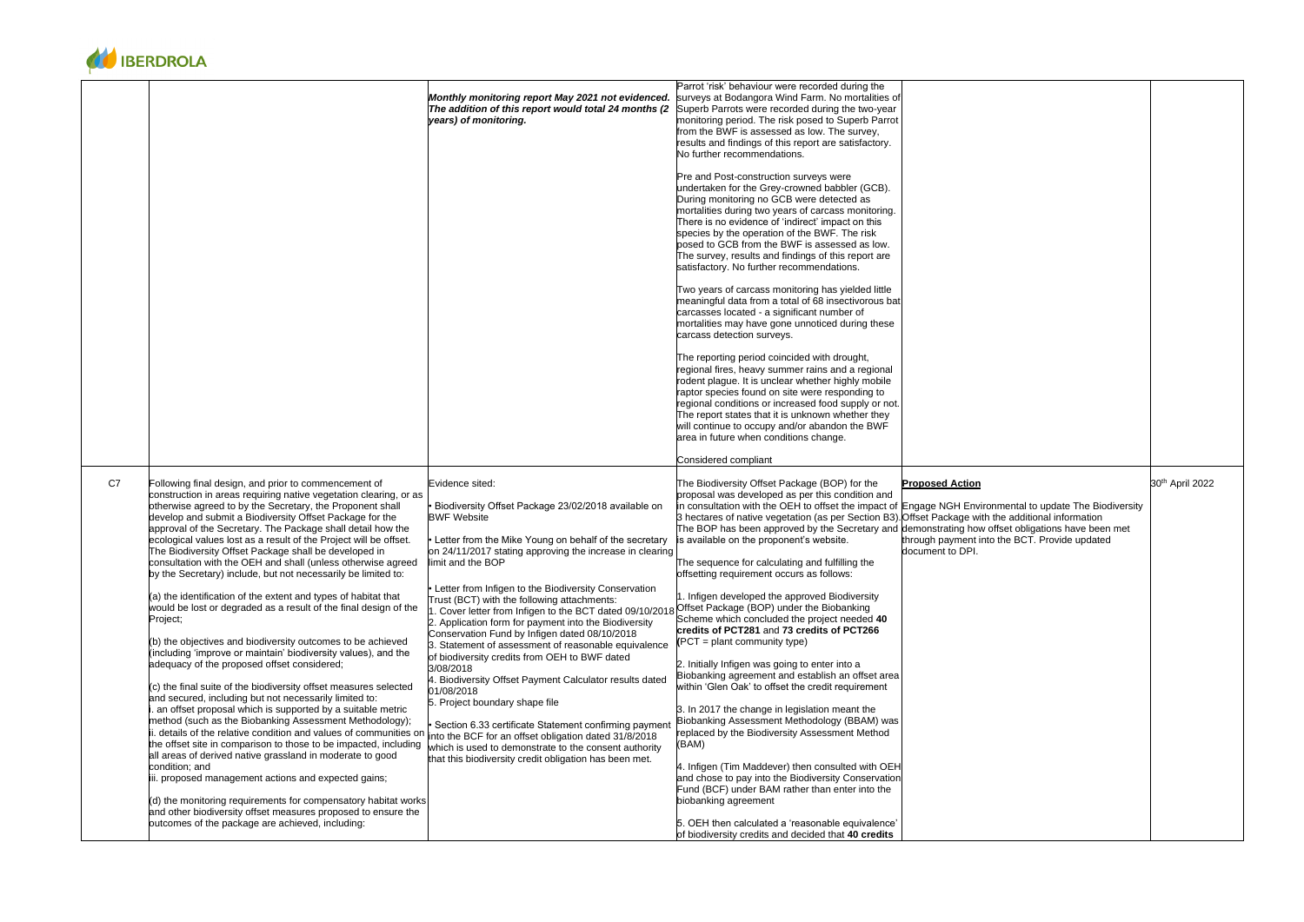| <b>Proposed Action</b>                                                                                                                                                                                                           | 30 <sup>th</sup> April 2022 |
|----------------------------------------------------------------------------------------------------------------------------------------------------------------------------------------------------------------------------------|-----------------------------|
| Engage NGH Environmental to update The Biodiversity<br>Offset Package with the additional information<br>demonstrating how offset obligations have been met<br>through payment into the BCT. Provide updated<br>document to DPI. |                             |



| Parrot 'risk' behaviour were recorded during the<br>surveys at Bodangora Wind Farm. No mortalities of<br>Monthly monitoring report May 2021 not evidenced.<br>Superb Parrots were recorded during the two-year<br>The addition of this report would total 24 months (2)<br>years) of monitoring.<br>monitoring period. The risk posed to Superb Parrot<br>from the BWF is assessed as low. The survey,<br>results and findings of this report are satisfactory.<br>No further recommendations.<br>Pre and Post-construction surveys were<br>undertaken for the Grey-crowned babbler (GCB).<br>During monitoring no GCB were detected as<br>mortalities during two years of carcass monitoring.<br>There is no evidence of 'indirect' impact on this                                                                                                                                                                                                                                                                                                                                                                                                                                                                                                                                                                                                                                                                                                                                                                                                                                                                                                                                                                                                                                                                                                                                                                                                                                                                                                                                                                                                                                                                                                                                                                                                                                                                                                                                                                                                                                                                                                                                                                                                                                                                                                                                                                                                                                                                                                                                                                                                                                                                                                                                                                                                                                                                                                                                                                                                                                                                                                                                                                                                                                                                                                                                                                                                                                  |                                                                  |
|--------------------------------------------------------------------------------------------------------------------------------------------------------------------------------------------------------------------------------------------------------------------------------------------------------------------------------------------------------------------------------------------------------------------------------------------------------------------------------------------------------------------------------------------------------------------------------------------------------------------------------------------------------------------------------------------------------------------------------------------------------------------------------------------------------------------------------------------------------------------------------------------------------------------------------------------------------------------------------------------------------------------------------------------------------------------------------------------------------------------------------------------------------------------------------------------------------------------------------------------------------------------------------------------------------------------------------------------------------------------------------------------------------------------------------------------------------------------------------------------------------------------------------------------------------------------------------------------------------------------------------------------------------------------------------------------------------------------------------------------------------------------------------------------------------------------------------------------------------------------------------------------------------------------------------------------------------------------------------------------------------------------------------------------------------------------------------------------------------------------------------------------------------------------------------------------------------------------------------------------------------------------------------------------------------------------------------------------------------------------------------------------------------------------------------------------------------------------------------------------------------------------------------------------------------------------------------------------------------------------------------------------------------------------------------------------------------------------------------------------------------------------------------------------------------------------------------------------------------------------------------------------------------------------------------------------------------------------------------------------------------------------------------------------------------------------------------------------------------------------------------------------------------------------------------------------------------------------------------------------------------------------------------------------------------------------------------------------------------------------------------------------------------------------------------------------------------------------------------------------------------------------------------------------------------------------------------------------------------------------------------------------------------------------------------------------------------------------------------------------------------------------------------------------------------------------------------------------------------------------------------------------------------------------------------------------------------------------------------------|------------------------------------------------------------------|
| species by the operation of the BWF. The risk<br>posed to GCB from the BWF is assessed as low.<br>The survey, results and findings of this report are<br>satisfactory. No further recommendations.<br>Two years of carcass monitoring has yielded little<br>meaningful data from a total of 68 insectivorous bat<br>carcasses located - a significant number of<br>mortalities may have gone unnoticed during these<br>carcass detection surveys.<br>The reporting period coincided with drought,<br>regional fires, heavy summer rains and a regional<br>rodent plague. It is unclear whether highly mobile<br>raptor species found on site were responding to<br>regional conditions or increased food supply or not.<br>The report states that it is unknown whether they<br>will continue to occupy and/or abandon the BWF<br>area in future when conditions change.<br>Considered compliant                                                                                                                                                                                                                                                                                                                                                                                                                                                                                                                                                                                                                                                                                                                                                                                                                                                                                                                                                                                                                                                                                                                                                                                                                                                                                                                                                                                                                                                                                                                                                                                                                                                                                                                                                                                                                                                                                                                                                                                                                                                                                                                                                                                                                                                                                                                                                                                                                                                                                                                                                                                                                                                                                                                                                                                                                                                                                                                                                                                                                                                                                     |                                                                  |
| C7<br>Following final design, and prior to commencement of<br>Evidence sited:<br>The Biodiversity Offset Package (BOP) for the<br>construction in areas requiring native vegetation clearing, or as<br>proposal was developed as per this condition and<br>otherwise agreed to by the Secretary, the Proponent shall<br>Biodiversity Offset Package 23/02/2018 available on<br>in consultation with the OEH to offset the impact of Engage NGH Envir<br><b>BWF Website</b><br>develop and submit a Biodiversity Offset Package for the<br>3 hectares of native vegetation (as per Section B3). Offset Package wit<br>approval of the Secretary. The Package shall detail how the<br>The BOP has been approved by the Secretary and demonstrating how<br>ecological values lost as a result of the Project will be offset.<br>is available on the proponent's website.<br>Letter from the Mike Young on behalf of the secretary<br>The Biodiversity Offset Package shall be developed in<br>on 24/11/2017 stating approving the increase in clearing<br>consultation with the OEH and shall (unless otherwise agreed<br>limit and the BOP<br>The sequence for calculating and fulfilling the<br>by the Secretary) include, but not necessarily be limited to:<br>offsetting requirement occurs as follows:<br>Letter from Infigen to the Biodiversity Conservation<br>(a) the identification of the extent and types of habitat that<br>1. Infigen developed the approved Biodiversity<br>Trust (BCT) with the following attachments:<br>would be lost or degraded as a result of the final design of the<br>Cover letter from Infigen to the BCT dated 09/10/2018 Offset Package (BOP) under the Biobanking<br>Scheme which concluded the project needed 40<br>Project;<br>2. Application form for payment into the Biodiversity<br>credits of PCT281 and 73 credits of PCT266<br>Conservation Fund by Infigen dated 08/10/2018<br>$(PCT = plant community type)$<br>(b) the objectives and biodiversity outcomes to be achieved<br>3. Statement of assessment of reasonable equivalence<br>(including 'improve or maintain' biodiversity values), and the<br>of biodiversity credits from OEH to BWF dated<br>adequacy of the proposed offset considered;<br>2. Initially Infigen was going to enter into a<br>3/08/2018<br>Biobanking agreement and establish an offset area<br>4. Biodiversity Offset Payment Calculator results dated<br>within 'Glen Oak' to offset the credit requirement<br>$(c)$ the final suite of the biodiversity offset measures selected<br>01/08/2018<br>and secured, including but not necessarily limited to:<br>5. Project boundary shape file<br>an offset proposal which is supported by a suitable metric<br>3. In 2017 the change in legislation meant the<br>method (such as the Biobanking Assessment Methodology);<br>Biobanking Assessment Methodology (BBAM) was<br>Section 6.33 certificate Statement confirming paymen<br>ii. details of the relative condition and values of communities on<br>replaced by the Biodiversity Assessment Method<br>into the BCF for an offset obligation dated 31/8/2018<br>(BAM)<br>the offset site in comparison to those to be impacted, including<br>which is used to demonstrate to the consent authority<br>all areas of derived native grassland in moderate to good<br>that this biodiversity credit obligation has been met.<br>4. Infigen (Tim Maddever) then consulted with OEH<br>condition; and<br>iii. proposed management actions and expected gains;<br>and chose to pay into the Biodiversity Conservation<br>Fund (BCF) under BAM rather than enter into the<br>(d) the monitoring requirements for compensatory habitat works<br>biobanking agreement<br>and other biodiversity offset measures proposed to ensure the<br>outcomes of the package are achieved, including:<br>5. OEH then calculated a 'reasonable equivalence'<br>of biodiversity credits and decided that 40 credits | <b>Proposed Action</b><br>through payment in<br>document to DPI. |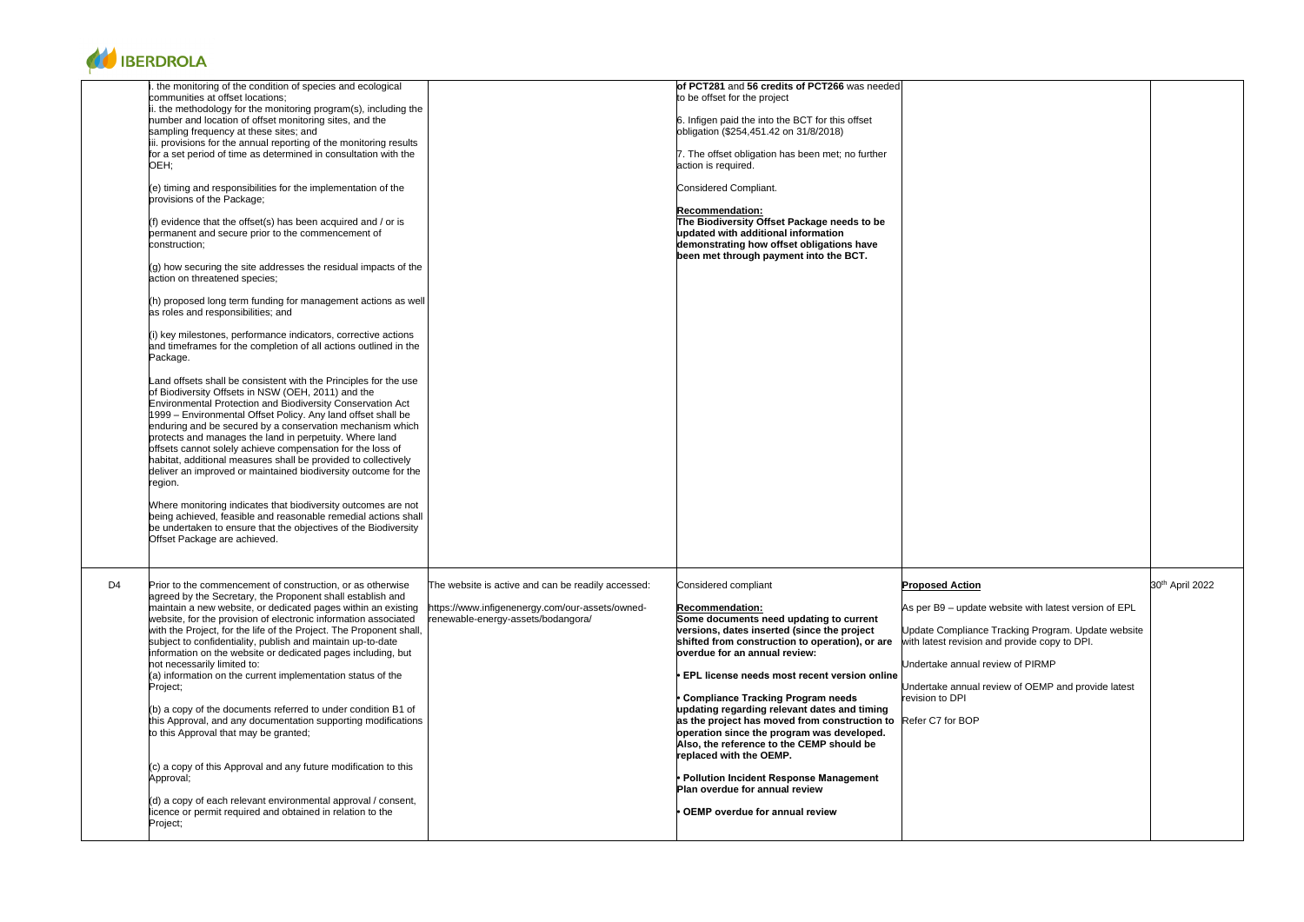

|    | the monitoring of the condition of species and ecological<br>communities at offset locations;<br>ii. the methodology for the monitoring program(s), including the<br>number and location of offset monitoring sites, and the<br>sampling frequency at these sites; and<br>iii. provisions for the annual reporting of the monitoring results<br>for a set period of time as determined in consultation with the<br>OEH;<br>$(e)$ timing and responsibilities for the implementation of the                                                                                                                                                                                                                                                                                                                                                                                                                                                                                                                                                                                                                                                                                                                                                                                                                                                                        | of PCT281 and 56 credits of PCT266 was needed<br>to be offset for the project<br>6. Infigen paid the into the BCT for this offset<br>obligation (\$254,451.42 on 31/8/2018)<br>7. The offset obligation has been met; no further<br>action is required.<br>Considered Compliant.                                                                                                                                                                                                                                                                                                                                                                                                                                                                                                                                           |                                                                                                                                                                              |
|----|-------------------------------------------------------------------------------------------------------------------------------------------------------------------------------------------------------------------------------------------------------------------------------------------------------------------------------------------------------------------------------------------------------------------------------------------------------------------------------------------------------------------------------------------------------------------------------------------------------------------------------------------------------------------------------------------------------------------------------------------------------------------------------------------------------------------------------------------------------------------------------------------------------------------------------------------------------------------------------------------------------------------------------------------------------------------------------------------------------------------------------------------------------------------------------------------------------------------------------------------------------------------------------------------------------------------------------------------------------------------|----------------------------------------------------------------------------------------------------------------------------------------------------------------------------------------------------------------------------------------------------------------------------------------------------------------------------------------------------------------------------------------------------------------------------------------------------------------------------------------------------------------------------------------------------------------------------------------------------------------------------------------------------------------------------------------------------------------------------------------------------------------------------------------------------------------------------|------------------------------------------------------------------------------------------------------------------------------------------------------------------------------|
|    | provisions of the Package;<br>(f) evidence that the offset(s) has been acquired and / or is<br>permanent and secure prior to the commencement of<br>construction;<br>(g) how securing the site addresses the residual impacts of the<br>action on threatened species;<br>(h) proposed long term funding for management actions as well<br>as roles and responsibilities; and<br>(i) key milestones, performance indicators, corrective actions<br>and timeframes for the completion of all actions outlined in the<br>Package.<br>Land offsets shall be consistent with the Principles for the use<br>of Biodiversity Offsets in NSW (OEH, 2011) and the<br>Environmental Protection and Biodiversity Conservation Act<br>1999 - Environmental Offset Policy. Any land offset shall be<br>enduring and be secured by a conservation mechanism which<br>protects and manages the land in perpetuity. Where land<br>offsets cannot solely achieve compensation for the loss of<br>habitat, additional measures shall be provided to collectively<br>deliver an improved or maintained biodiversity outcome for the<br>region.<br>Where monitoring indicates that biodiversity outcomes are not<br>being achieved, feasible and reasonable remedial actions shall<br>be undertaken to ensure that the objectives of the Biodiversity<br>Offset Package are achieved. | <b>Recommendation:</b><br>The Biodiversity Offset Package needs to be<br>updated with additional information<br>demonstrating how offset obligations have<br>been met through payment into the BCT.                                                                                                                                                                                                                                                                                                                                                                                                                                                                                                                                                                                                                        |                                                                                                                                                                              |
| D4 | Prior to the commencement of construction, or as otherwise<br>agreed by the Secretary, the Proponent shall establish and<br>maintain a new website, or dedicated pages within an existing<br>website, for the provision of electronic information associated<br>with the Project, for the life of the Project. The Proponent shall,<br>subject to confidentiality, publish and maintain up-to-date<br>information on the website or dedicated pages including, but<br>not necessarily limited to:<br>(a) information on the current implementation status of the<br>Project;<br>(b) a copy of the documents referred to under condition B1 of<br>this Approval, and any documentation supporting modifications<br>to this Approval that may be granted;<br>$(c)$ a copy of this Approval and any future modification to this<br>Approval;<br>$(d)$ a copy of each relevant environmental approval / consent,<br>licence or permit required and obtained in relation to the<br>Project;                                                                                                                                                                                                                                                                                                                                                                            | The website is active and can be readily accessed:<br>Considered compliant<br>https://www.infigenenergy.com/our-assets/owned-<br><b>Recommendation:</b><br>Some documents need updating to current<br>renewable-energy-assets/bodangora/<br>versions, dates inserted (since the project<br>shifted from construction to operation), or are<br>overdue for an annual review:<br>EPL license needs most recent version online<br><b>Compliance Tracking Program needs</b><br>updating regarding relevant dates and timing<br>as the project has moved from construction to<br>operation since the program was developed.<br>Also, the reference to the CEMP should be<br>replaced with the OEMP.<br><b>Pollution Incident Response Management</b><br>Plan overdue for annual review<br><b>OEMP</b> overdue for annual review | <b>Proposed Action</b><br>As per B9 - update<br>Update Compliance<br>with latest revision<br>Undertake annual r<br>Undertake annual r<br>revision to DPI<br>Refer C7 for BOP |

| <b>Proposed Action</b><br>As per B9 - update website with latest version of EPL                                                                                                                                  | 30 <sup>th</sup> April 2022 |
|------------------------------------------------------------------------------------------------------------------------------------------------------------------------------------------------------------------|-----------------------------|
| Update Compliance Tracking Program. Update website<br>with latest revision and provide copy to DPI.<br>Undertake annual review of PIRMP<br>Undertake annual review of OEMP and provide latest<br>revision to DPI |                             |
| Refer C7 for BOP                                                                                                                                                                                                 |                             |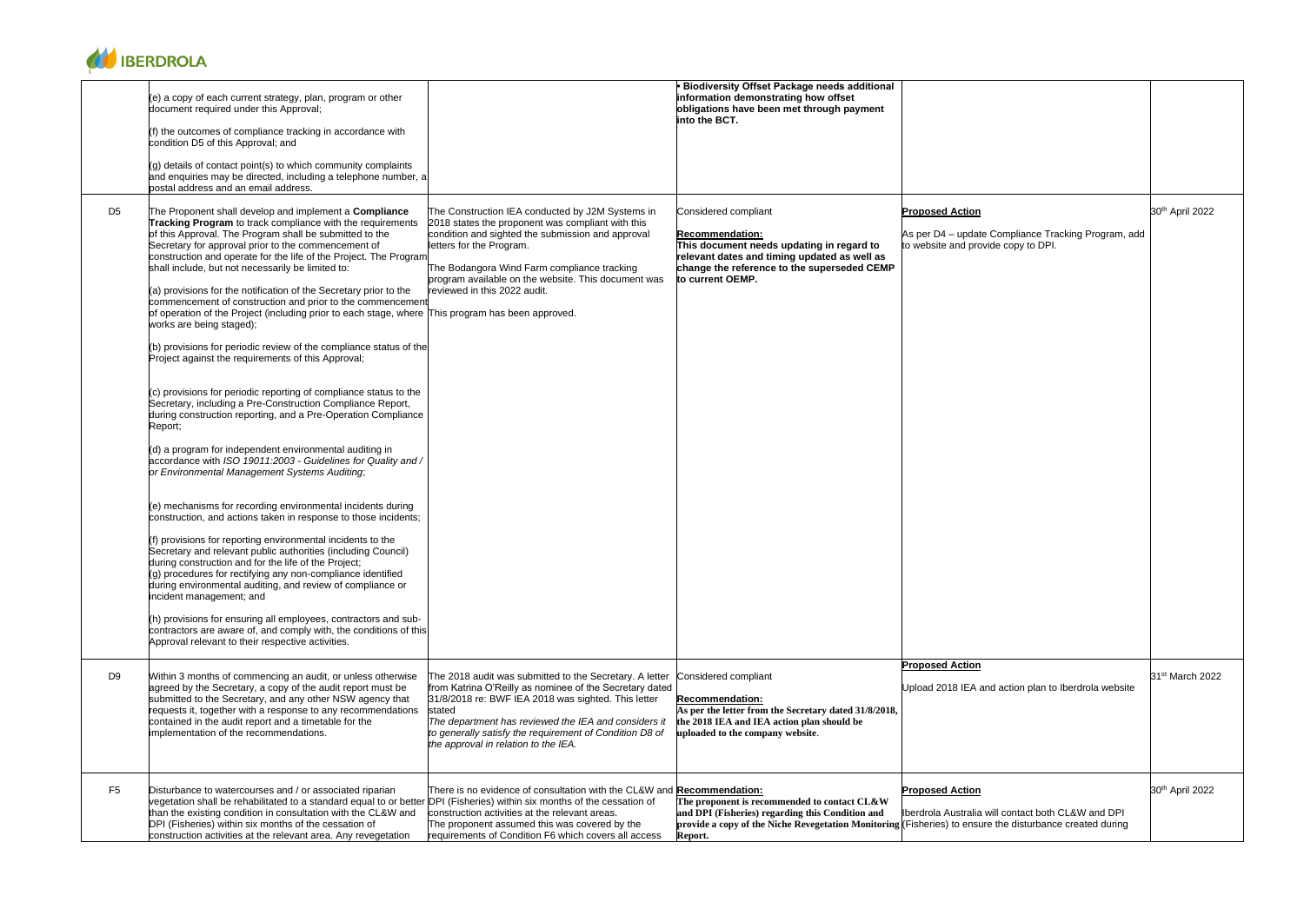

|                | (e) a copy of each current strategy, plan, program or other<br>document required under this Approval;                                                                                                                                                                                                                                                                                                                                                                                                                                                                                                                                                                                                                                                                                                                                                                                                                                                                                                                                                                                                                                                                                                                                                                                                                                                                                                                                                                                                                                                                                                                                                                                                                                                                                     |                                                                                                                                                                                                                                                                                                                                                | <b>Biodiversity Offset Package needs additional</b><br>information demonstrating how offset<br>obligations have been met through payment<br>into the BCT.                                                      |                                                                                                                                                                                          |                             |
|----------------|-------------------------------------------------------------------------------------------------------------------------------------------------------------------------------------------------------------------------------------------------------------------------------------------------------------------------------------------------------------------------------------------------------------------------------------------------------------------------------------------------------------------------------------------------------------------------------------------------------------------------------------------------------------------------------------------------------------------------------------------------------------------------------------------------------------------------------------------------------------------------------------------------------------------------------------------------------------------------------------------------------------------------------------------------------------------------------------------------------------------------------------------------------------------------------------------------------------------------------------------------------------------------------------------------------------------------------------------------------------------------------------------------------------------------------------------------------------------------------------------------------------------------------------------------------------------------------------------------------------------------------------------------------------------------------------------------------------------------------------------------------------------------------------------|------------------------------------------------------------------------------------------------------------------------------------------------------------------------------------------------------------------------------------------------------------------------------------------------------------------------------------------------|----------------------------------------------------------------------------------------------------------------------------------------------------------------------------------------------------------------|------------------------------------------------------------------------------------------------------------------------------------------------------------------------------------------|-----------------------------|
|                | (f) the outcomes of compliance tracking in accordance with<br>condition D5 of this Approval; and                                                                                                                                                                                                                                                                                                                                                                                                                                                                                                                                                                                                                                                                                                                                                                                                                                                                                                                                                                                                                                                                                                                                                                                                                                                                                                                                                                                                                                                                                                                                                                                                                                                                                          |                                                                                                                                                                                                                                                                                                                                                |                                                                                                                                                                                                                |                                                                                                                                                                                          |                             |
|                | (g) details of contact point(s) to which community complaints<br>and enquiries may be directed, including a telephone number, a<br>postal address and an email address.                                                                                                                                                                                                                                                                                                                                                                                                                                                                                                                                                                                                                                                                                                                                                                                                                                                                                                                                                                                                                                                                                                                                                                                                                                                                                                                                                                                                                                                                                                                                                                                                                   |                                                                                                                                                                                                                                                                                                                                                |                                                                                                                                                                                                                |                                                                                                                                                                                          |                             |
| D <sub>5</sub> | The Proponent shall develop and implement a Compliance<br>Tracking Program to track compliance with the requirements<br>of this Approval. The Program shall be submitted to the<br>Secretary for approval prior to the commencement of<br>construction and operate for the life of the Project. The Program<br>shall include, but not necessarily be limited to:<br>(a) provisions for the notification of the Secretary prior to the<br>commencement of construction and prior to the commencement<br>of operation of the Project (including prior to each stage, where This program has been approved.<br>works are being staged);<br>(b) provisions for periodic review of the compliance status of the<br>Project against the requirements of this Approval;<br>$(c)$ provisions for periodic reporting of compliance status to the<br>Secretary, including a Pre-Construction Compliance Report,<br>during construction reporting, and a Pre-Operation Compliance<br>Report;<br>(d) a program for independent environmental auditing in<br>accordance with ISO 19011:2003 - Guidelines for Quality and /<br>or Environmental Management Systems Auditing;<br>(e) mechanisms for recording environmental incidents during<br>construction, and actions taken in response to those incidents;<br>(f) provisions for reporting environmental incidents to the<br>Secretary and relevant public authorities (including Council)<br>during construction and for the life of the Project;<br>(g) procedures for rectifying any non-compliance identified<br>during environmental auditing, and review of compliance or<br>incident management; and<br>(h) provisions for ensuring all employees, contractors and sub-<br>contractors are aware of, and comply with, the conditions of this | The Construction IEA conducted by J2M Systems in<br>2018 states the proponent was compliant with this<br>condition and sighted the submission and approval<br>letters for the Program.<br>The Bodangora Wind Farm compliance tracking<br>program available on the website. This document was<br>reviewed in this 2022 audit.                   | Considered compliant<br><b>Recommendation:</b><br>This document needs updating in regard to<br>relevant dates and timing updated as well as<br>change the reference to the superseded CEMP<br>to current OEMP. | <b>Proposed Action</b><br>As per D4 - update Compliance Tracking Program, add<br>to website and provide copy to DPI.                                                                     | 30th April 2022             |
|                | Approval relevant to their respective activities.                                                                                                                                                                                                                                                                                                                                                                                                                                                                                                                                                                                                                                                                                                                                                                                                                                                                                                                                                                                                                                                                                                                                                                                                                                                                                                                                                                                                                                                                                                                                                                                                                                                                                                                                         |                                                                                                                                                                                                                                                                                                                                                |                                                                                                                                                                                                                |                                                                                                                                                                                          |                             |
| D <sub>9</sub> | Within 3 months of commencing an audit, or unless otherwise<br>agreed by the Secretary, a copy of the audit report must be<br>submitted to the Secretary, and any other NSW agency that<br>requests it, together with a response to any recommendations<br>contained in the audit report and a timetable for the<br>implementation of the recommendations.                                                                                                                                                                                                                                                                                                                                                                                                                                                                                                                                                                                                                                                                                                                                                                                                                                                                                                                                                                                                                                                                                                                                                                                                                                                                                                                                                                                                                                | The 2018 audit was submitted to the Secretary. A letter<br>from Katrina O'Reilly as nominee of the Secretary dated<br>31/8/2018 re: BWF IEA 2018 was sighted. This letter<br>stated<br>The department has reviewed the IEA and considers it<br>to generally satisfy the requirement of Condition D8 of<br>the approval in relation to the IEA. | Considered compliant<br><b>Recommendation:</b><br>As per the letter from the Secretary dated 31/8/2018,<br>the 2018 IEA and IEA action plan should be<br>uploaded to the company website.                      | <b>Proposed Action</b><br>Upload 2018 IEA and action plan to Iberdrola website                                                                                                           | 31 <sup>st</sup> March 2022 |
| F <sub>5</sub> | Disturbance to watercourses and / or associated riparian<br>vegetation shall be rehabilitated to a standard equal to or better DPI (Fisheries) within six months of the cessation of<br>than the existing condition in consultation with the CL&W and<br>DPI (Fisheries) within six months of the cessation of<br>construction activities at the relevant area. Any revegetation                                                                                                                                                                                                                                                                                                                                                                                                                                                                                                                                                                                                                                                                                                                                                                                                                                                                                                                                                                                                                                                                                                                                                                                                                                                                                                                                                                                                          | There is no evidence of consultation with the CL&W and Recommendation:<br>construction activities at the relevant areas.<br>The proponent assumed this was covered by the<br>requirements of Condition F6 which covers all access                                                                                                              | The proponent is recommended to contact CL&W<br>and DPI (Fisheries) regarding this Condition and<br>Report.                                                                                                    | <b>Proposed Action</b><br>Iberdrola Australia will contact both CL&W and DPI<br>provide a copy of the Niche Revegetation Monitoring (Fisheries) to ensure the disturbance created during | 30 <sup>th</sup> April 2022 |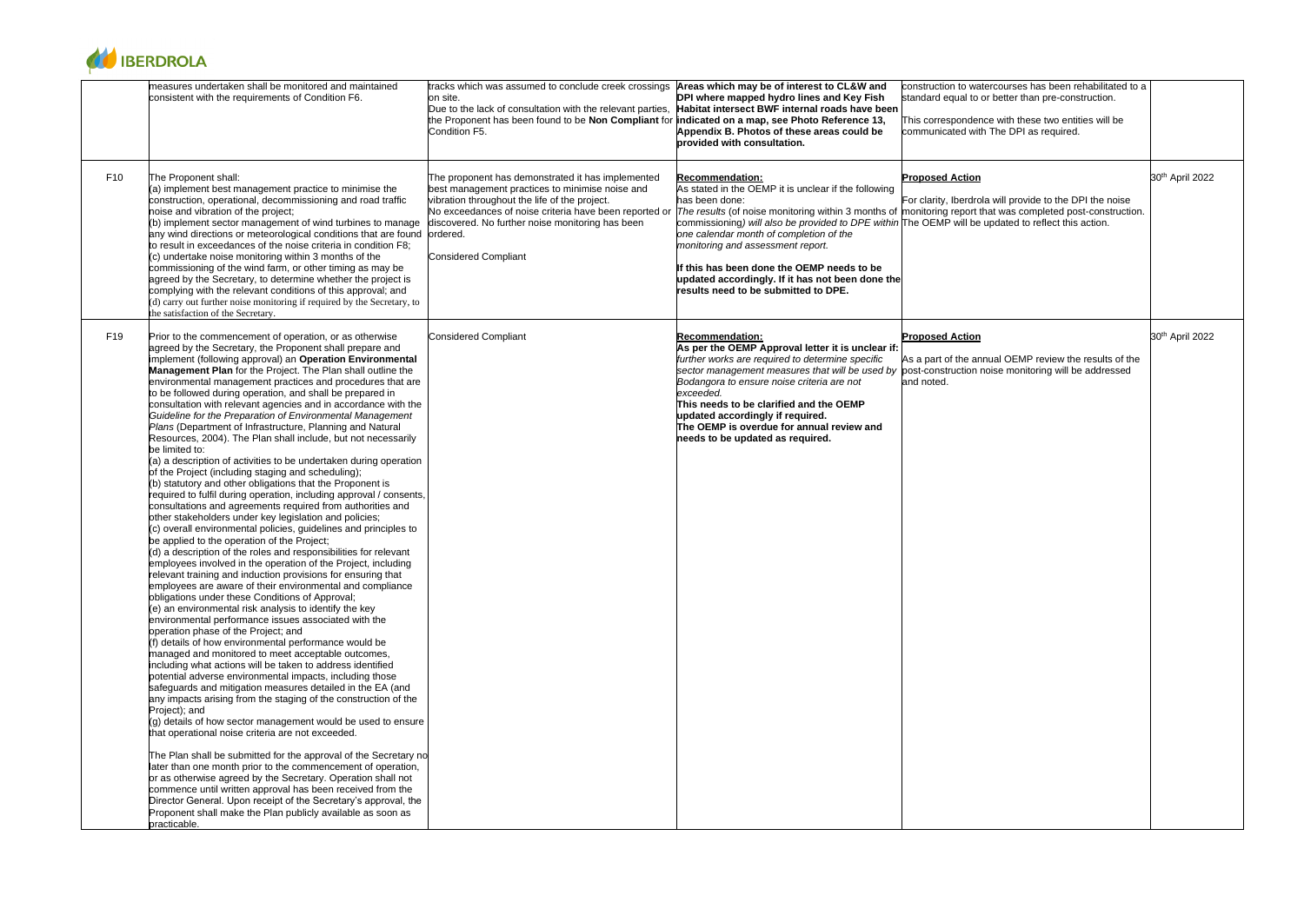| construction to watercourses has been rehabilitated to a<br>standard equal to or better than pre-construction.                                                          |                             |
|-------------------------------------------------------------------------------------------------------------------------------------------------------------------------|-----------------------------|
| This correspondence with these two entities will be<br>communicated with The DPI as required.                                                                           |                             |
| <b>Proposed Action</b>                                                                                                                                                  | 30 <sup>th</sup> April 2022 |
| For clarity, Iberdrola will provide to the DPI the noise<br>monitoring report that was completed post-construction.<br>The OEMP will be updated to reflect this action. |                             |
| <b>Proposed Action</b>                                                                                                                                                  | 30 <sup>th</sup> April 2022 |
| As a part of the annual OEMP review the results of the<br>post-construction noise monitoring will be addressed<br>and noted.                                            |                             |



|                 | measures undertaken shall be monitored and maintained<br>consistent with the requirements of Condition F6.                                                                                                                                                                                                                                                                                                                                                                                                                                                                                                                                                                                                                                                                                                                                                                                                                                                                                                                                                                                                                                                                                                                                                                                                                                                                                                                                                                                                                                                                                                                                                                                                                                                                                                                                                                                                                                                                                                                                                                                                                                                                                                                                                                                                                                                                                                                                                                                                                                                                                | tracks which was assumed to conclude creek crossings<br>on site.<br>Due to the lack of consultation with the relevant parties, Habitat intersect BWF internal roads have been<br>the Proponent has been found to be Non Compliant for <b>indicated on a map, see Photo Reference 13,</b><br>Condition F5.      | Areas which may be of interest to CL&W and<br>DPI where mapped hydro lines and Key Fish<br>Appendix B. Photos of these areas could be<br>provided with consultation.                                                                                                                                                                                                                                                                                                               | construction to water<br>standard equal to or<br>This correspondence<br>communicated with |
|-----------------|-------------------------------------------------------------------------------------------------------------------------------------------------------------------------------------------------------------------------------------------------------------------------------------------------------------------------------------------------------------------------------------------------------------------------------------------------------------------------------------------------------------------------------------------------------------------------------------------------------------------------------------------------------------------------------------------------------------------------------------------------------------------------------------------------------------------------------------------------------------------------------------------------------------------------------------------------------------------------------------------------------------------------------------------------------------------------------------------------------------------------------------------------------------------------------------------------------------------------------------------------------------------------------------------------------------------------------------------------------------------------------------------------------------------------------------------------------------------------------------------------------------------------------------------------------------------------------------------------------------------------------------------------------------------------------------------------------------------------------------------------------------------------------------------------------------------------------------------------------------------------------------------------------------------------------------------------------------------------------------------------------------------------------------------------------------------------------------------------------------------------------------------------------------------------------------------------------------------------------------------------------------------------------------------------------------------------------------------------------------------------------------------------------------------------------------------------------------------------------------------------------------------------------------------------------------------------------------------|----------------------------------------------------------------------------------------------------------------------------------------------------------------------------------------------------------------------------------------------------------------------------------------------------------------|------------------------------------------------------------------------------------------------------------------------------------------------------------------------------------------------------------------------------------------------------------------------------------------------------------------------------------------------------------------------------------------------------------------------------------------------------------------------------------|-------------------------------------------------------------------------------------------|
| F <sub>10</sub> | The Proponent shall:<br>$(a)$ implement best management practice to minimise the<br>construction, operational, decommissioning and road traffic<br>noise and vibration of the project;<br>(b) implement sector management of wind turbines to manage<br>any wind directions or meteorological conditions that are found<br>to result in exceedances of the noise criteria in condition F8;<br>(c) undertake noise monitoring within 3 months of the<br>commissioning of the wind farm, or other timing as may be<br>agreed by the Secretary, to determine whether the project is<br>complying with the relevant conditions of this approval; and<br>(d) carry out further noise monitoring if required by the Secretary, to<br>the satisfaction of the Secretary.                                                                                                                                                                                                                                                                                                                                                                                                                                                                                                                                                                                                                                                                                                                                                                                                                                                                                                                                                                                                                                                                                                                                                                                                                                                                                                                                                                                                                                                                                                                                                                                                                                                                                                                                                                                                                         | The proponent has demonstrated it has implemented<br>best management practices to minimise noise and<br>vibration throughout the life of the project.<br>No exceedances of noise criteria have been reported or<br>discovered. No further noise monitoring has been<br>ordered.<br><b>Considered Compliant</b> | <b>Recommendation:</b><br>As stated in the OEMP it is unclear if the following<br>has been done:<br>The results (of noise monitoring within 3 months of monitoring report that<br>commissioning) will also be provided to DPE within The OEMP will be up<br>one calendar month of completion of the<br>monitoring and assessment report.<br>If this has been done the OEMP needs to be<br>updated accordingly. If it has not been done the<br>results need to be submitted to DPE. | <b>Proposed Action</b><br>For clarity, Iberdrola                                          |
| F <sub>19</sub> | Prior to the commencement of operation, or as otherwise<br>agreed by the Secretary, the Proponent shall prepare and<br>implement (following approval) an Operation Environmental<br>Management Plan for the Project. The Plan shall outline the<br>environmental management practices and procedures that are<br>to be followed during operation, and shall be prepared in<br>consultation with relevant agencies and in accordance with the<br>Guideline for the Preparation of Environmental Management<br>Plans (Department of Infrastructure, Planning and Natural<br>Resources, 2004). The Plan shall include, but not necessarily<br>be limited to:<br>(a) a description of activities to be undertaken during operation<br>of the Project (including staging and scheduling);<br>(b) statutory and other obligations that the Proponent is<br>required to fulfil during operation, including approval / consents,<br>consultations and agreements required from authorities and<br>other stakeholders under key legislation and policies;<br>(c) overall environmental policies, guidelines and principles to<br>be applied to the operation of the Project;<br>$(d)$ a description of the roles and responsibilities for relevant<br>employees involved in the operation of the Project, including<br>relevant training and induction provisions for ensuring that<br>employees are aware of their environmental and compliance<br>obligations under these Conditions of Approval;<br>$(e)$ an environmental risk analysis to identify the key<br>environmental performance issues associated with the<br>operation phase of the Project; and<br>(f) details of how environmental performance would be<br>managed and monitored to meet acceptable outcomes,<br>including what actions will be taken to address identified<br>potential adverse environmental impacts, including those<br>safeguards and mitigation measures detailed in the EA (and<br>any impacts arising from the staging of the construction of the<br>Project); and<br>(g) details of how sector management would be used to ensure<br>that operational noise criteria are not exceeded.<br>The Plan shall be submitted for the approval of the Secretary no<br>later than one month prior to the commencement of operation,<br>or as otherwise agreed by the Secretary. Operation shall not<br>commence until written approval has been received from the<br>Director General. Upon receipt of the Secretary's approval, the<br>Proponent shall make the Plan publicly available as soon as<br>practicable. | <b>Considered Compliant</b>                                                                                                                                                                                                                                                                                    | <b>Recommendation:</b><br>As per the OEMP Approval letter it is unclear if:<br>further works are required to determine specific<br>sector management measures that will be used by<br>Bodangora to ensure noise criteria are not<br>exceeded.<br>This needs to be clarified and the OEMP<br>updated accordingly if required.<br>The OEMP is overdue for annual review and<br>needs to be updated as required.                                                                      | <b>Proposed Action</b><br>As a part of the annu<br>post-construction no<br>and noted.     |